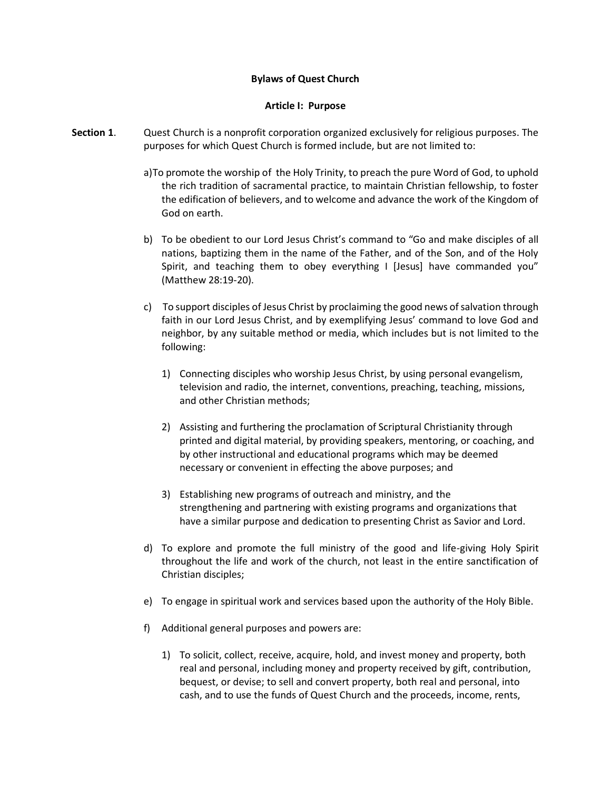### **Bylaws of Quest Church**

#### **Article I: Purpose**

- **Section 1**. Quest Church is a nonprofit corporation organized exclusively for religious purposes. The purposes for which Quest Church is formed include, but are not limited to:
	- a)To promote the worship of the Holy Trinity, to preach the pure Word of God, to uphold the rich tradition of sacramental practice, to maintain Christian fellowship, to foster the edification of believers, and to welcome and advance the work of the Kingdom of God on earth.
	- b) To be obedient to our Lord Jesus Christ's command to "Go and make disciples of all nations, baptizing them in the name of the Father, and of the Son, and of the Holy Spirit, and teaching them to obey everything I [Jesus] have commanded you" (Matthew 28:19-20).
	- c) To support disciples of Jesus Christ by proclaiming the good news of salvation through faith in our Lord Jesus Christ, and by exemplifying Jesus' command to love God and neighbor, by any suitable method or media, which includes but is not limited to the following:
		- 1) Connecting disciples who worship Jesus Christ, by using personal evangelism, television and radio, the internet, conventions, preaching, teaching, missions, and other Christian methods;
		- 2) Assisting and furthering the proclamation of Scriptural Christianity through printed and digital material, by providing speakers, mentoring, or coaching, and by other instructional and educational programs which may be deemed necessary or convenient in effecting the above purposes; and
		- 3) Establishing new programs of outreach and ministry, and the strengthening and partnering with existing programs and organizations that have a similar purpose and dedication to presenting Christ as Savior and Lord.
	- d) To explore and promote the full ministry of the good and life-giving Holy Spirit throughout the life and work of the church, not least in the entire sanctification of Christian disciples;
	- e) To engage in spiritual work and services based upon the authority of the Holy Bible.
	- f) Additional general purposes and powers are:
		- 1) To solicit, collect, receive, acquire, hold, and invest money and property, both real and personal, including money and property received by gift, contribution, bequest, or devise; to sell and convert property, both real and personal, into cash, and to use the funds of Quest Church and the proceeds, income, rents,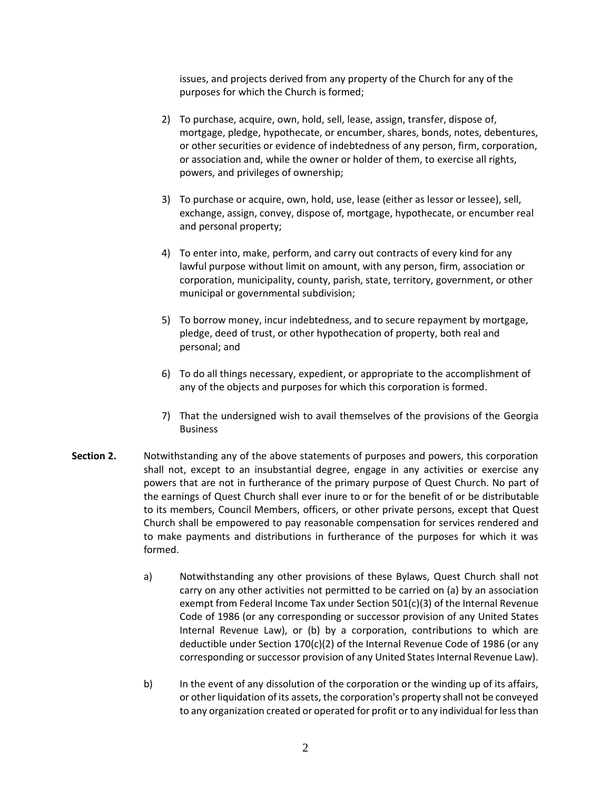issues, and projects derived from any property of the Church for any of the purposes for which the Church is formed;

- 2) To purchase, acquire, own, hold, sell, lease, assign, transfer, dispose of, mortgage, pledge, hypothecate, or encumber, shares, bonds, notes, debentures, or other securities or evidence of indebtedness of any person, firm, corporation, or association and, while the owner or holder of them, to exercise all rights, powers, and privileges of ownership;
- 3) To purchase or acquire, own, hold, use, lease (either as lessor or lessee), sell, exchange, assign, convey, dispose of, mortgage, hypothecate, or encumber real and personal property;
- 4) To enter into, make, perform, and carry out contracts of every kind for any lawful purpose without limit on amount, with any person, firm, association or corporation, municipality, county, parish, state, territory, government, or other municipal or governmental subdivision;
- 5) To borrow money, incur indebtedness, and to secure repayment by mortgage, pledge, deed of trust, or other hypothecation of property, both real and personal; and
- 6) To do all things necessary, expedient, or appropriate to the accomplishment of any of the objects and purposes for which this corporation is formed.
- 7) That the undersigned wish to avail themselves of the provisions of the Georgia Business
- **Section 2.** Notwithstanding any of the above statements of purposes and powers, this corporation shall not, except to an insubstantial degree, engage in any activities or exercise any powers that are not in furtherance of the primary purpose of Quest Church. No part of the earnings of Quest Church shall ever inure to or for the benefit of or be distributable to its members, Council Members, officers, or other private persons, except that Quest Church shall be empowered to pay reasonable compensation for services rendered and to make payments and distributions in furtherance of the purposes for which it was formed.
	- a) Notwithstanding any other provisions of these Bylaws, Quest Church shall not carry on any other activities not permitted to be carried on (a) by an association exempt from Federal Income Tax under Section 501(c)(3) of the Internal Revenue Code of 1986 (or any corresponding or successor provision of any United States Internal Revenue Law), or (b) by a corporation, contributions to which are deductible under Section 170(c)(2) of the Internal Revenue Code of 1986 (or any corresponding or successor provision of any United States Internal Revenue Law).
	- b) In the event of any dissolution of the corporation or the winding up of its affairs, or other liquidation of its assets, the corporation's property shall not be conveyed to any organization created or operated for profit or to any individual for less than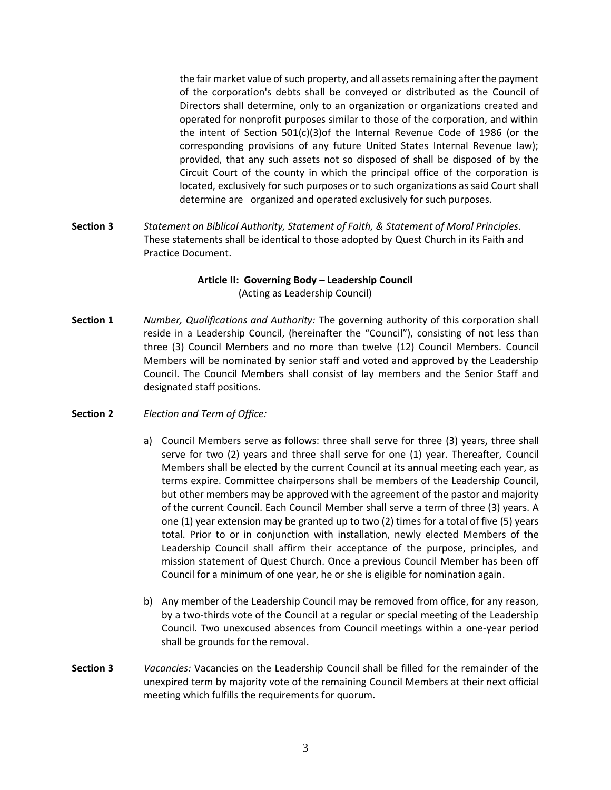the fair market value of such property, and all assets remaining after the payment of the corporation's debts shall be conveyed or distributed as the Council of Directors shall determine, only to an organization or organizations created and operated for nonprofit purposes similar to those of the corporation, and within the intent of Section 501(c)(3)of the Internal Revenue Code of 1986 (or the corresponding provisions of any future United States Internal Revenue law); provided, that any such assets not so disposed of shall be disposed of by the Circuit Court of the county in which the principal office of the corporation is located, exclusively for such purposes or to such organizations as said Court shall determine are organized and operated exclusively for such purposes.

**Section 3** *Statement on Biblical Authority, Statement of Faith, & Statement of Moral Principles*. These statements shall be identical to those adopted by Quest Church in its Faith and Practice Document.

# **Article II: Governing Body – Leadership Council**  (Acting as Leadership Council)

- **Section 1** *Number, Qualifications and Authority:* The governing authority of this corporation shall reside in a Leadership Council, (hereinafter the "Council"), consisting of not less than three (3) Council Members and no more than twelve (12) Council Members. Council Members will be nominated by senior staff and voted and approved by the Leadership Council. The Council Members shall consist of lay members and the Senior Staff and designated staff positions.
- **Section 2** *Election and Term of Office:*
	- a) Council Members serve as follows: three shall serve for three (3) years, three shall serve for two (2) years and three shall serve for one (1) year. Thereafter, Council Members shall be elected by the current Council at its annual meeting each year, as terms expire. Committee chairpersons shall be members of the Leadership Council, but other members may be approved with the agreement of the pastor and majority of the current Council. Each Council Member shall serve a term of three (3) years. A one (1) year extension may be granted up to two (2) times for a total of five (5) years total. Prior to or in conjunction with installation, newly elected Members of the Leadership Council shall affirm their acceptance of the purpose, principles, and mission statement of Quest Church. Once a previous Council Member has been off Council for a minimum of one year, he or she is eligible for nomination again.
	- b) Any member of the Leadership Council may be removed from office, for any reason, by a two-thirds vote of the Council at a regular or special meeting of the Leadership Council. Two unexcused absences from Council meetings within a one-year period shall be grounds for the removal.
- **Section 3** *Vacancies:* Vacancies on the Leadership Council shall be filled for the remainder of the unexpired term by majority vote of the remaining Council Members at their next official meeting which fulfills the requirements for quorum.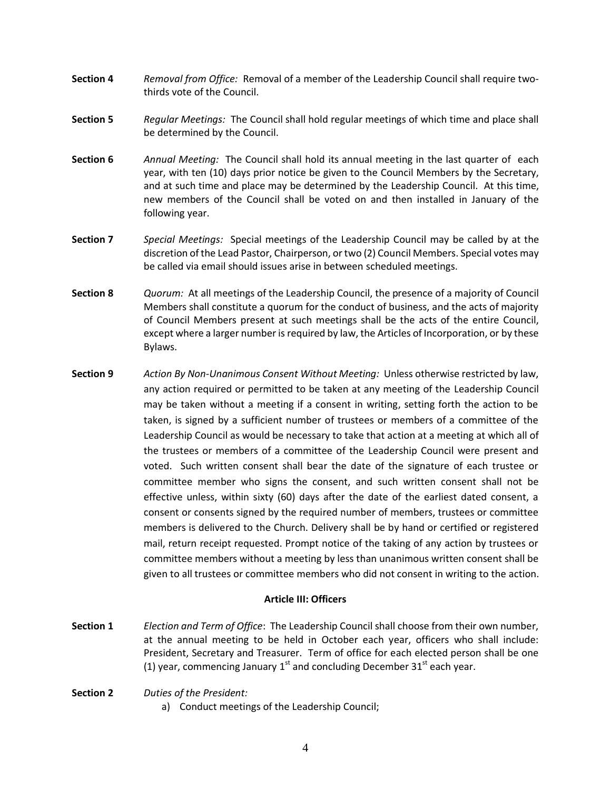- **Section 4** *Removal from Office:* Removal of a member of the Leadership Council shall require twothirds vote of the Council.
- **Section 5** *Regular Meetings:* The Council shall hold regular meetings of which time and place shall be determined by the Council.
- **Section 6** *Annual Meeting:* The Council shall hold its annual meeting in the last quarter of each year, with ten (10) days prior notice be given to the Council Members by the Secretary, and at such time and place may be determined by the Leadership Council. At this time, new members of the Council shall be voted on and then installed in January of the following year.
- **Section 7** *Special Meetings:* Special meetings of the Leadership Council may be called by at the discretion of the Lead Pastor, Chairperson, or two (2) Council Members. Special votes may be called via email should issues arise in between scheduled meetings.
- **Section 8** *Quorum:* At all meetings of the Leadership Council, the presence of a majority of Council Members shall constitute a quorum for the conduct of business, and the acts of majority of Council Members present at such meetings shall be the acts of the entire Council, except where a larger number is required by law, the Articles of Incorporation, or by these Bylaws.
- **Section 9** *Action By Non-Unanimous Consent Without Meeting:* Unless otherwise restricted by law, any action required or permitted to be taken at any meeting of the Leadership Council may be taken without a meeting if a consent in writing, setting forth the action to be taken, is signed by a sufficient number of trustees or members of a committee of the Leadership Council as would be necessary to take that action at a meeting at which all of the trustees or members of a committee of the Leadership Council were present and voted. Such written consent shall bear the date of the signature of each trustee or committee member who signs the consent, and such written consent shall not be effective unless, within sixty (60) days after the date of the earliest dated consent, a consent or consents signed by the required number of members, trustees or committee members is delivered to the Church. Delivery shall be by hand or certified or registered mail, return receipt requested. Prompt notice of the taking of any action by trustees or committee members without a meeting by less than unanimous written consent shall be given to all trustees or committee members who did not consent in writing to the action.

#### **Article III: Officers**

- **Section 1** *Election and Term of Office*: The Leadership Council shall choose from their own number, at the annual meeting to be held in October each year, officers who shall include: President, Secretary and Treasurer. Term of office for each elected person shall be one (1) year, commencing January  $1^{st}$  and concluding December 31 $^{st}$  each year.
- **Section 2** *Duties of the President:*
	- a) Conduct meetings of the Leadership Council;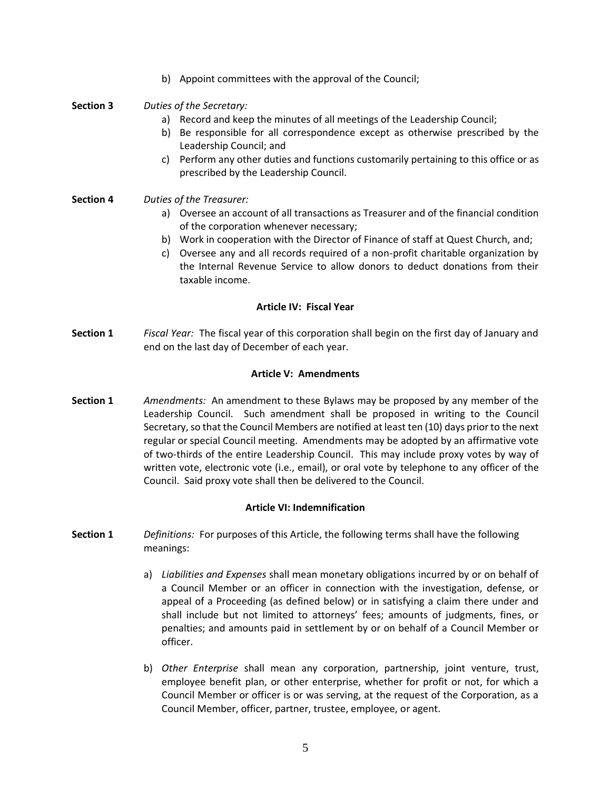b) Appoint committees with the approval of the Council;

## **Section 3** *Duties of the Secretary:*

- a) Record and keep the minutes of all meetings of the Leadership Council;
- b) Be responsible for all correspondence except as otherwise prescribed by the Leadership Council; and
- c) Perform any other duties and functions customarily pertaining to this office or as prescribed by the Leadership Council.
- **Section 4** *Duties of the Treasurer:*
	- a) Oversee an account of all transactions as Treasurer and of the financial condition of the corporation whenever necessary;
	- b) Work in cooperation with the Director of Finance of staff at Quest Church, and;
	- c) Oversee any and all records required of a non-profit charitable organization by the Internal Revenue Service to allow donors to deduct donations from their taxable income.

### **Article IV: Fiscal Year**

**Section 1** *Fiscal Year:* The fiscal year of this corporation shall begin on the first day of January and end on the last day of December of each year.

### **Article V: Amendments**

**Section 1** *Amendments:* An amendment to these Bylaws may be proposed by any member of the Leadership Council. Such amendment shall be proposed in writing to the Council Secretary, so that the Council Members are notified at least ten (10) days prior to the next regular or special Council meeting. Amendments may be adopted by an affirmative vote of two-thirds of the entire Leadership Council. This may include proxy votes by way of written vote, electronic vote (i.e., email), or oral vote by telephone to any officer of the Council. Said proxy vote shall then be delivered to the Council.

## **Article VI: Indemnification**

- **Section 1** *Definitions:* For purposes of this Article, the following terms shall have the following meanings:
	- a) *Liabilities and Expenses* shall mean monetary obligations incurred by or on behalf of a Council Member or an officer in connection with the investigation, defense, or appeal of a Proceeding (as defined below) or in satisfying a claim there under and shall include but not limited to attorneys' fees; amounts of judgments, fines, or penalties; and amounts paid in settlement by or on behalf of a Council Member or officer.
	- b) *Other Enterprise* shall mean any corporation, partnership, joint venture, trust, employee benefit plan, or other enterprise, whether for profit or not, for which a Council Member or officer is or was serving, at the request of the Corporation, as a Council Member, officer, partner, trustee, employee, or agent.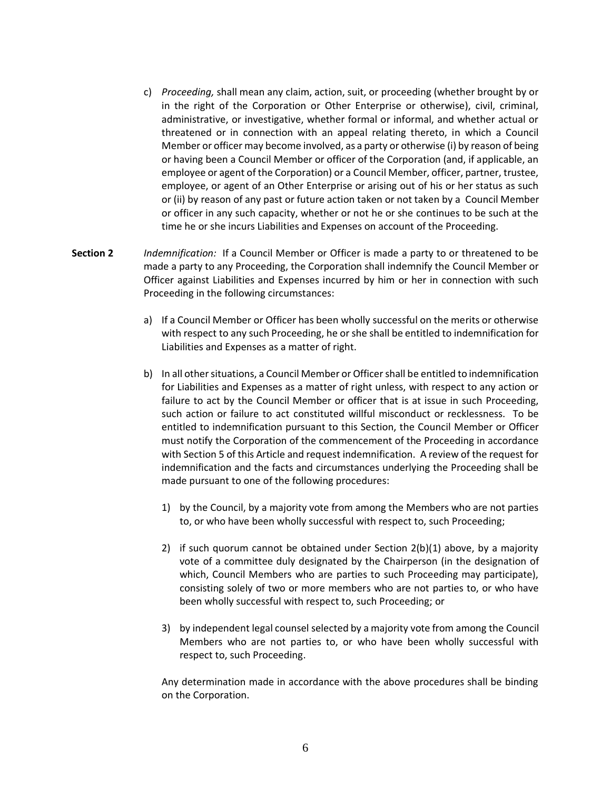- c) *Proceeding,* shall mean any claim, action, suit, or proceeding (whether brought by or in the right of the Corporation or Other Enterprise or otherwise), civil, criminal, administrative, or investigative, whether formal or informal, and whether actual or threatened or in connection with an appeal relating thereto, in which a Council Member or officer may become involved, as a party or otherwise (i) by reason of being or having been a Council Member or officer of the Corporation (and, if applicable, an employee or agent of the Corporation) or a Council Member, officer, partner, trustee, employee, or agent of an Other Enterprise or arising out of his or her status as such or (ii) by reason of any past or future action taken or not taken by a Council Member or officer in any such capacity, whether or not he or she continues to be such at the time he or she incurs Liabilities and Expenses on account of the Proceeding.
- **Section 2** *Indemnification:* If a Council Member or Officer is made a party to or threatened to be made a party to any Proceeding, the Corporation shall indemnify the Council Member or Officer against Liabilities and Expenses incurred by him or her in connection with such Proceeding in the following circumstances:
	- a) If a Council Member or Officer has been wholly successful on the merits or otherwise with respect to any such Proceeding, he or she shall be entitled to indemnification for Liabilities and Expenses as a matter of right.
	- b) In all other situations, a Council Member or Officer shall be entitled to indemnification for Liabilities and Expenses as a matter of right unless, with respect to any action or failure to act by the Council Member or officer that is at issue in such Proceeding, such action or failure to act constituted willful misconduct or recklessness. To be entitled to indemnification pursuant to this Section, the Council Member or Officer must notify the Corporation of the commencement of the Proceeding in accordance with Section 5 of this Article and request indemnification. A review of the request for indemnification and the facts and circumstances underlying the Proceeding shall be made pursuant to one of the following procedures:
		- 1) by the Council, by a majority vote from among the Members who are not parties to, or who have been wholly successful with respect to, such Proceeding;
		- 2) if such quorum cannot be obtained under Section  $2(b)(1)$  above, by a majority vote of a committee duly designated by the Chairperson (in the designation of which, Council Members who are parties to such Proceeding may participate), consisting solely of two or more members who are not parties to, or who have been wholly successful with respect to, such Proceeding; or
		- 3) by independent legal counsel selected by a majority vote from among the Council Members who are not parties to, or who have been wholly successful with respect to, such Proceeding.

Any determination made in accordance with the above procedures shall be binding on the Corporation.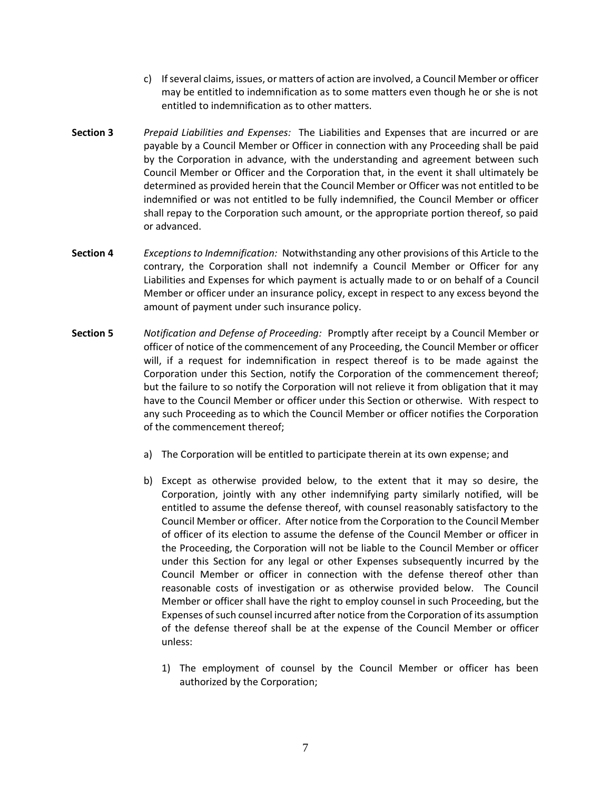- c) If several claims, issues, or matters of action are involved, a Council Member or officer may be entitled to indemnification as to some matters even though he or she is not entitled to indemnification as to other matters.
- **Section 3** *Prepaid Liabilities and Expenses:* The Liabilities and Expenses that are incurred or are payable by a Council Member or Officer in connection with any Proceeding shall be paid by the Corporation in advance, with the understanding and agreement between such Council Member or Officer and the Corporation that, in the event it shall ultimately be determined as provided herein that the Council Member or Officer was not entitled to be indemnified or was not entitled to be fully indemnified, the Council Member or officer shall repay to the Corporation such amount, or the appropriate portion thereof, so paid or advanced.
- **Section 4** *Exceptions to Indemnification:* Notwithstanding any other provisions of this Article to the contrary, the Corporation shall not indemnify a Council Member or Officer for any Liabilities and Expenses for which payment is actually made to or on behalf of a Council Member or officer under an insurance policy, except in respect to any excess beyond the amount of payment under such insurance policy.
- **Section 5** *Notification and Defense of Proceeding:* Promptly after receipt by a Council Member or officer of notice of the commencement of any Proceeding, the Council Member or officer will, if a request for indemnification in respect thereof is to be made against the Corporation under this Section, notify the Corporation of the commencement thereof; but the failure to so notify the Corporation will not relieve it from obligation that it may have to the Council Member or officer under this Section or otherwise. With respect to any such Proceeding as to which the Council Member or officer notifies the Corporation of the commencement thereof;
	- a) The Corporation will be entitled to participate therein at its own expense; and
	- b) Except as otherwise provided below, to the extent that it may so desire, the Corporation, jointly with any other indemnifying party similarly notified, will be entitled to assume the defense thereof, with counsel reasonably satisfactory to the Council Member or officer. After notice from the Corporation to the Council Member of officer of its election to assume the defense of the Council Member or officer in the Proceeding, the Corporation will not be liable to the Council Member or officer under this Section for any legal or other Expenses subsequently incurred by the Council Member or officer in connection with the defense thereof other than reasonable costs of investigation or as otherwise provided below. The Council Member or officer shall have the right to employ counsel in such Proceeding, but the Expenses of such counsel incurred after notice from the Corporation of its assumption of the defense thereof shall be at the expense of the Council Member or officer unless:
		- 1) The employment of counsel by the Council Member or officer has been authorized by the Corporation;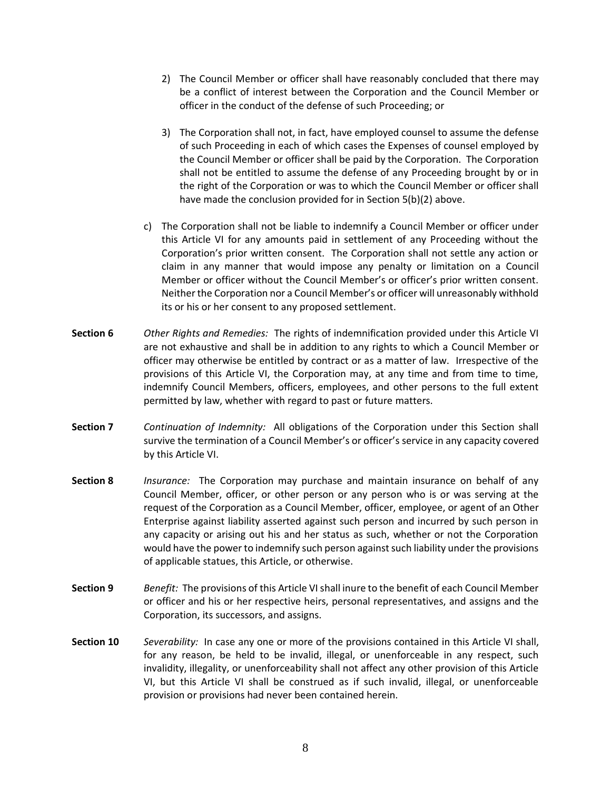- 2) The Council Member or officer shall have reasonably concluded that there may be a conflict of interest between the Corporation and the Council Member or officer in the conduct of the defense of such Proceeding; or
- 3) The Corporation shall not, in fact, have employed counsel to assume the defense of such Proceeding in each of which cases the Expenses of counsel employed by the Council Member or officer shall be paid by the Corporation. The Corporation shall not be entitled to assume the defense of any Proceeding brought by or in the right of the Corporation or was to which the Council Member or officer shall have made the conclusion provided for in Section 5(b)(2) above.
- c) The Corporation shall not be liable to indemnify a Council Member or officer under this Article VI for any amounts paid in settlement of any Proceeding without the Corporation's prior written consent. The Corporation shall not settle any action or claim in any manner that would impose any penalty or limitation on a Council Member or officer without the Council Member's or officer's prior written consent. Neither the Corporation nor a Council Member's or officer will unreasonably withhold its or his or her consent to any proposed settlement.
- **Section 6** *Other Rights and Remedies:* The rights of indemnification provided under this Article VI are not exhaustive and shall be in addition to any rights to which a Council Member or officer may otherwise be entitled by contract or as a matter of law. Irrespective of the provisions of this Article VI, the Corporation may, at any time and from time to time, indemnify Council Members, officers, employees, and other persons to the full extent permitted by law, whether with regard to past or future matters.
- **Section 7** *Continuation of Indemnity:* All obligations of the Corporation under this Section shall survive the termination of a Council Member's or officer's service in any capacity covered by this Article VI.
- **Section 8** *Insurance:* The Corporation may purchase and maintain insurance on behalf of any Council Member, officer, or other person or any person who is or was serving at the request of the Corporation as a Council Member, officer, employee, or agent of an Other Enterprise against liability asserted against such person and incurred by such person in any capacity or arising out his and her status as such, whether or not the Corporation would have the power to indemnify such person against such liability under the provisions of applicable statues, this Article, or otherwise.
- **Section 9** *Benefit:* The provisions of this Article VI shall inure to the benefit of each Council Member or officer and his or her respective heirs, personal representatives, and assigns and the Corporation, its successors, and assigns.
- **Section 10** *Severability:* In case any one or more of the provisions contained in this Article VI shall, for any reason, be held to be invalid, illegal, or unenforceable in any respect, such invalidity, illegality, or unenforceability shall not affect any other provision of this Article VI, but this Article VI shall be construed as if such invalid, illegal, or unenforceable provision or provisions had never been contained herein.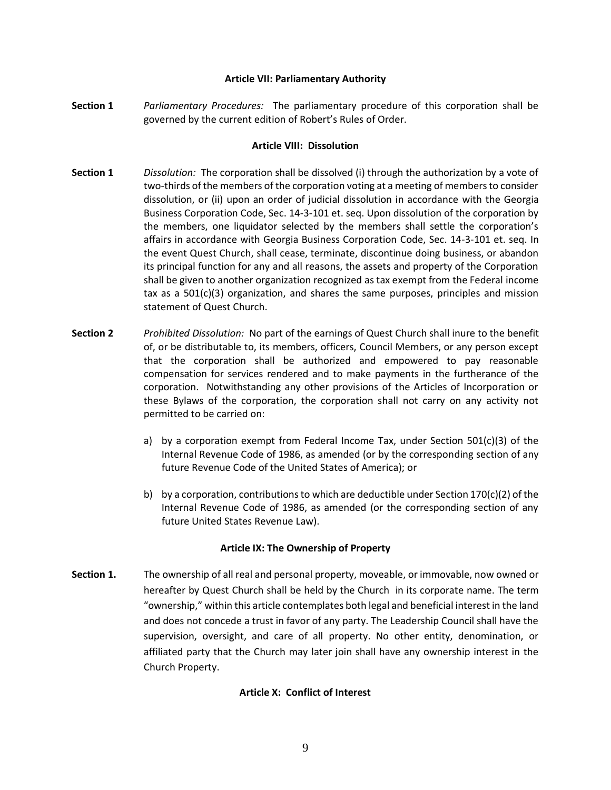#### **Article VII: Parliamentary Authority**

**Section 1** *Parliamentary Procedures:* The parliamentary procedure of this corporation shall be governed by the current edition of Robert's Rules of Order.

### **Article VIII: Dissolution**

- **Section 1** *Dissolution:* The corporation shall be dissolved (i) through the authorization by a vote of two-thirds of the members of the corporation voting at a meeting of members to consider dissolution, or (ii) upon an order of judicial dissolution in accordance with the Georgia Business Corporation Code, Sec. 14-3-101 et. seq. Upon dissolution of the corporation by the members, one liquidator selected by the members shall settle the corporation's affairs in accordance with Georgia Business Corporation Code, Sec. 14-3-101 et. seq. In the event Quest Church, shall cease, terminate, discontinue doing business, or abandon its principal function for any and all reasons, the assets and property of the Corporation shall be given to another organization recognized as tax exempt from the Federal income tax as a 501(c)(3) organization, and shares the same purposes, principles and mission statement of Quest Church.
- **Section 2** *Prohibited Dissolution:* No part of the earnings of Quest Church shall inure to the benefit of, or be distributable to, its members, officers, Council Members, or any person except that the corporation shall be authorized and empowered to pay reasonable compensation for services rendered and to make payments in the furtherance of the corporation. Notwithstanding any other provisions of the Articles of Incorporation or these Bylaws of the corporation, the corporation shall not carry on any activity not permitted to be carried on:
	- a) by a corporation exempt from Federal Income Tax, under Section  $501(c)(3)$  of the Internal Revenue Code of 1986, as amended (or by the corresponding section of any future Revenue Code of the United States of America); or
	- b) by a corporation, contributions to which are deductible under Section 170(c)(2) of the Internal Revenue Code of 1986, as amended (or the corresponding section of any future United States Revenue Law).

## **Article IX: The Ownership of Property**

**Section 1.** The ownership of all real and personal property, moveable, or immovable, now owned or hereafter by Quest Church shall be held by the Church in its corporate name. The term "ownership," within this article contemplates both legal and beneficial interest in the land and does not concede a trust in favor of any party. The Leadership Council shall have the supervision, oversight, and care of all property. No other entity, denomination, or affiliated party that the Church may later join shall have any ownership interest in the Church Property.

## **Article X: Conflict of Interest**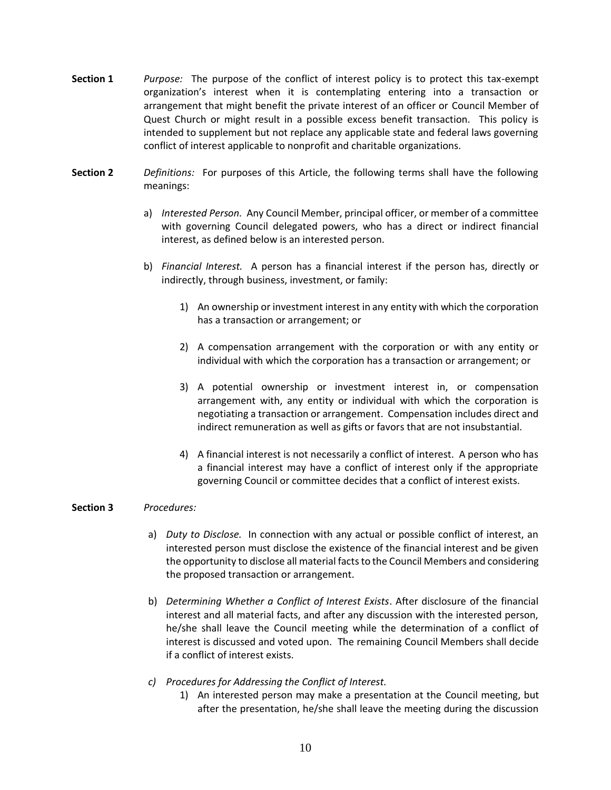- **Section 1** *Purpose:* The purpose of the conflict of interest policy is to protect this tax-exempt organization's interest when it is contemplating entering into a transaction or arrangement that might benefit the private interest of an officer or Council Member of Quest Church or might result in a possible excess benefit transaction. This policy is intended to supplement but not replace any applicable state and federal laws governing conflict of interest applicable to nonprofit and charitable organizations.
- **Section 2** *Definitions:* For purposes of this Article, the following terms shall have the following meanings:
	- a) *Interested Person.* Any Council Member, principal officer, or member of a committee with governing Council delegated powers, who has a direct or indirect financial interest, as defined below is an interested person.
	- b) *Financial Interest.* A person has a financial interest if the person has, directly or indirectly, through business, investment, or family:
		- 1) An ownership or investment interest in any entity with which the corporation has a transaction or arrangement; or
		- 2) A compensation arrangement with the corporation or with any entity or individual with which the corporation has a transaction or arrangement; or
		- 3) A potential ownership or investment interest in, or compensation arrangement with, any entity or individual with which the corporation is negotiating a transaction or arrangement. Compensation includes direct and indirect remuneration as well as gifts or favors that are not insubstantial.
		- 4) A financial interest is not necessarily a conflict of interest. A person who has a financial interest may have a conflict of interest only if the appropriate governing Council or committee decides that a conflict of interest exists.

#### **Section 3** *Procedures:*

- a) *Duty to Disclose.* In connection with any actual or possible conflict of interest, an interested person must disclose the existence of the financial interest and be given the opportunity to disclose all material facts to the Council Members and considering the proposed transaction or arrangement.
- b) *Determining Whether a Conflict of Interest Exists*. After disclosure of the financial interest and all material facts, and after any discussion with the interested person, he/she shall leave the Council meeting while the determination of a conflict of interest is discussed and voted upon. The remaining Council Members shall decide if a conflict of interest exists.
- *c) Procedures for Addressing the Conflict of Interest.*
	- 1) An interested person may make a presentation at the Council meeting, but after the presentation, he/she shall leave the meeting during the discussion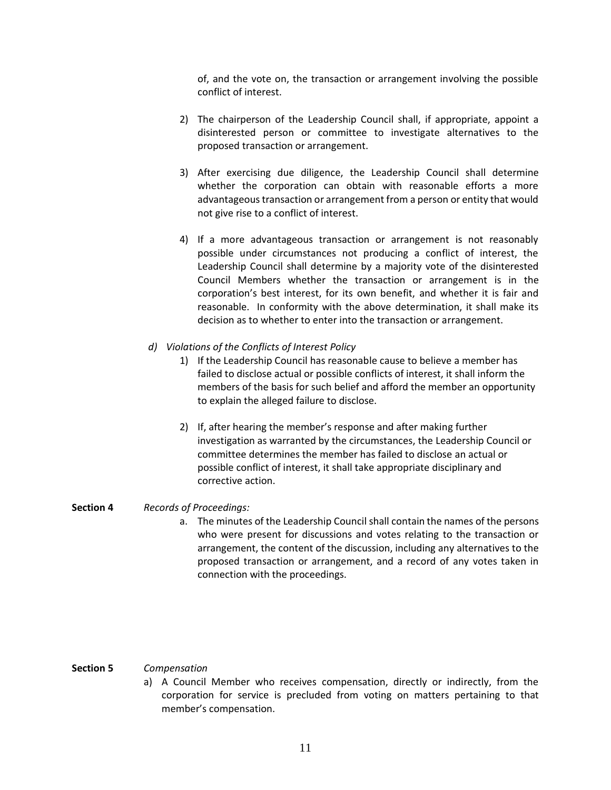of, and the vote on, the transaction or arrangement involving the possible conflict of interest.

- 2) The chairperson of the Leadership Council shall, if appropriate, appoint a disinterested person or committee to investigate alternatives to the proposed transaction or arrangement.
- 3) After exercising due diligence, the Leadership Council shall determine whether the corporation can obtain with reasonable efforts a more advantageous transaction or arrangement from a person or entity that would not give rise to a conflict of interest.
- 4) If a more advantageous transaction or arrangement is not reasonably possible under circumstances not producing a conflict of interest, the Leadership Council shall determine by a majority vote of the disinterested Council Members whether the transaction or arrangement is in the corporation's best interest, for its own benefit, and whether it is fair and reasonable. In conformity with the above determination, it shall make its decision as to whether to enter into the transaction or arrangement.
- *d) Violations of the Conflicts of Interest Policy*
	- 1) If the Leadership Council has reasonable cause to believe a member has failed to disclose actual or possible conflicts of interest, it shall inform the members of the basis for such belief and afford the member an opportunity to explain the alleged failure to disclose.
	- 2) If, after hearing the member's response and after making further investigation as warranted by the circumstances, the Leadership Council or committee determines the member has failed to disclose an actual or possible conflict of interest, it shall take appropriate disciplinary and corrective action.

#### **Section 4** *Records of Proceedings:*

a. The minutes of the Leadership Council shall contain the names of the persons who were present for discussions and votes relating to the transaction or arrangement, the content of the discussion, including any alternatives to the proposed transaction or arrangement, and a record of any votes taken in connection with the proceedings.

### **Section 5** *Compensation*

a) A Council Member who receives compensation, directly or indirectly, from the corporation for service is precluded from voting on matters pertaining to that member's compensation.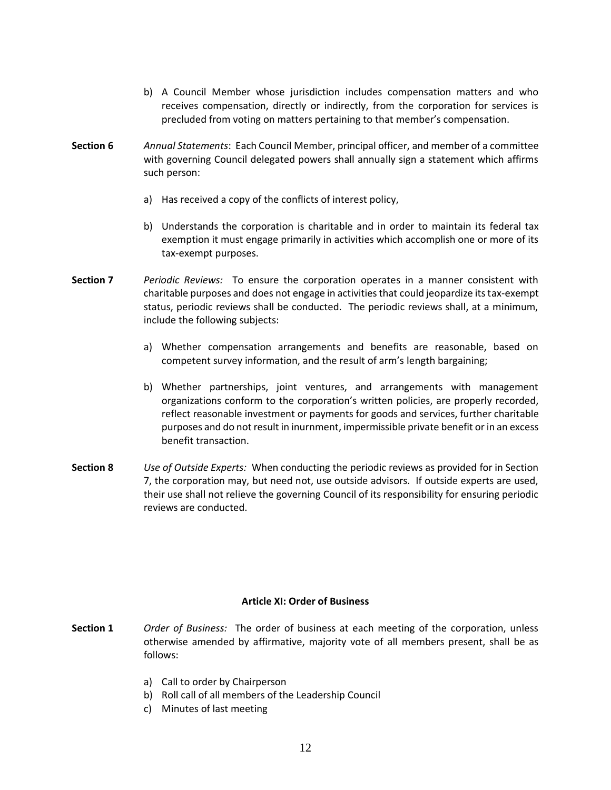- b) A Council Member whose jurisdiction includes compensation matters and who receives compensation, directly or indirectly, from the corporation for services is precluded from voting on matters pertaining to that member's compensation.
- **Section 6** *Annual Statements*: Each Council Member, principal officer, and member of a committee with governing Council delegated powers shall annually sign a statement which affirms such person:
	- a) Has received a copy of the conflicts of interest policy,
	- b) Understands the corporation is charitable and in order to maintain its federal tax exemption it must engage primarily in activities which accomplish one or more of its tax-exempt purposes.
- **Section 7** *Periodic Reviews:* To ensure the corporation operates in a manner consistent with charitable purposes and does not engage in activities that could jeopardize its tax-exempt status, periodic reviews shall be conducted. The periodic reviews shall, at a minimum, include the following subjects:
	- a) Whether compensation arrangements and benefits are reasonable, based on competent survey information, and the result of arm's length bargaining;
	- b) Whether partnerships, joint ventures, and arrangements with management organizations conform to the corporation's written policies, are properly recorded, reflect reasonable investment or payments for goods and services, further charitable purposes and do not result in inurnment, impermissible private benefit or in an excess benefit transaction.
- **Section 8** *Use of Outside Experts:* When conducting the periodic reviews as provided for in Section 7, the corporation may, but need not, use outside advisors. If outside experts are used, their use shall not relieve the governing Council of its responsibility for ensuring periodic reviews are conducted.

## **Article XI: Order of Business**

- **Section 1** *Order of Business:* The order of business at each meeting of the corporation, unless otherwise amended by affirmative, majority vote of all members present, shall be as follows:
	- a) Call to order by Chairperson
	- b) Roll call of all members of the Leadership Council
	- c) Minutes of last meeting